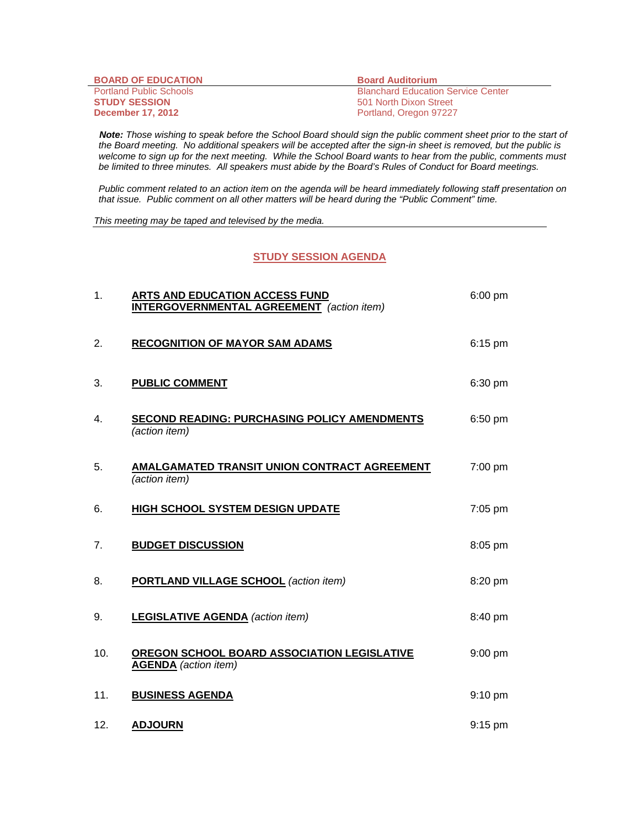| <b>BOARD OF EDUCATION</b>      | <b>Board Auditorium</b>                   |
|--------------------------------|-------------------------------------------|
| <b>Portland Public Schools</b> | <b>Blanchard Education Service Center</b> |
| <b>STUDY SESSION</b>           | 501 North Dixon Street                    |
| <b>December 17, 2012</b>       | Portland, Oregon 97227                    |

 *Note: Those wishing to speak before the School Board should sign the public comment sheet prior to the start of the Board meeting. No additional speakers will be accepted after the sign-in sheet is removed, but the public is*  welcome to sign up for the next meeting. While the School Board wants to hear from the public, comments must *be limited to three minutes. All speakers must abide by the Board's Rules of Conduct for Board meetings.* 

 *Public comment related to an action item on the agenda will be heard immediately following staff presentation on that issue. Public comment on all other matters will be heard during the "Public Comment" time.* 

*This meeting may be taped and televised by the media.* 

## **STUDY SESSION AGENDA**

| 1.  | ARTS AND EDUCATION ACCESS FUND<br><b>INTERGOVERNMENTAL AGREEMENT</b> (action item) | $6:00$ pm         |
|-----|------------------------------------------------------------------------------------|-------------------|
| 2.  | <b>RECOGNITION OF MAYOR SAM ADAMS</b>                                              | 6:15 pm           |
| 3.  | <b>PUBLIC COMMENT</b>                                                              | 6:30 pm           |
| 4.  | <b>SECOND READING: PURCHASING POLICY AMENDMENTS</b><br>(action item)               | $6:50$ pm         |
| 5.  | AMALGAMATED TRANSIT UNION CONTRACT AGREEMENT<br>(action item)                      | 7:00 pm           |
| 6.  | <b>HIGH SCHOOL SYSTEM DESIGN UPDATE</b>                                            | 7:05 pm           |
| 7.  | <b>BUDGET DISCUSSION</b>                                                           | 8:05 pm           |
| 8.  | <b>PORTLAND VILLAGE SCHOOL (action item)</b>                                       | 8:20 pm           |
| 9.  | <b>LEGISLATIVE AGENDA</b> (action item)                                            | 8:40 pm           |
| 10. | <b>OREGON SCHOOL BOARD ASSOCIATION LEGISLATIVE</b><br><b>AGENDA</b> (action item)  | $9:00$ pm         |
| 11. | <b>BUSINESS AGENDA</b>                                                             | $9:10 \text{ pm}$ |
| 12. | <b>ADJOURN</b>                                                                     | $9:15$ pm         |